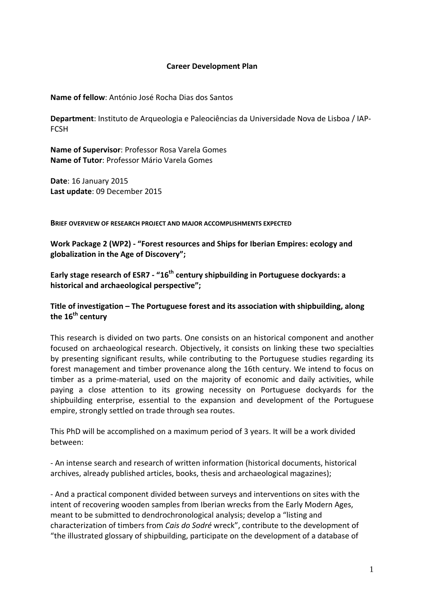#### **Career Development Plan**

**Name of fellow**: António José Rocha Dias dos Santos

**Department**: Instituto de Arqueologia e Paleociências da Universidade Nova de Lisboa / IAP‐ **FCSH** 

**Name of Supervisor**: Professor Rosa Varela Gomes **Name of Tutor**: Professor Mário Varela Gomes

**Date**: 16 January 2015 **Last update**: 09 December 2015

**BRIEF OVERVIEW OF RESEARCH PROJECT AND MAJOR ACCOMPLISHMENTS EXPECTED**

**Work Package 2 (WP2) ‐ "Forest resources and Ships for Iberian Empires: ecology and globalization in the Age of Discovery";**

**Early stage research of ESR7 ‐ "16th century shipbuilding in Portuguese dockyards: a historical and archaeological perspective";**

#### **Title of investigation – The Portuguese forest and its association with shipbuilding, along the 16th century**

This research is divided on two parts. One consists on an historical component and another focused on archaeological research. Objectively, it consists on linking these two specialties by presenting significant results, while contributing to the Portuguese studies regarding its forest management and timber provenance along the 16th century. We intend to focus on timber as a prime-material, used on the majority of economic and daily activities, while paying a close attention to its growing necessity on Portuguese dockyards for the shipbuilding enterprise, essential to the expansion and development of the Portuguese empire, strongly settled on trade through sea routes.

This PhD will be accomplished on a maximum period of 3 years. It will be a work divided between:

‐ An intense search and research of written information (historical documents, historical archives, already published articles, books, thesis and archaeological magazines);

‐ And a practical component divided between surveys and interventions on sites with the intent of recovering wooden samples from Iberian wrecks from the Early Modern Ages, meant to be submitted to dendrochronological analysis; develop a "listing and characterization of timbers from *Cais do Sodré* wreck", contribute to the development of "the illustrated glossary of shipbuilding, participate on the development of a database of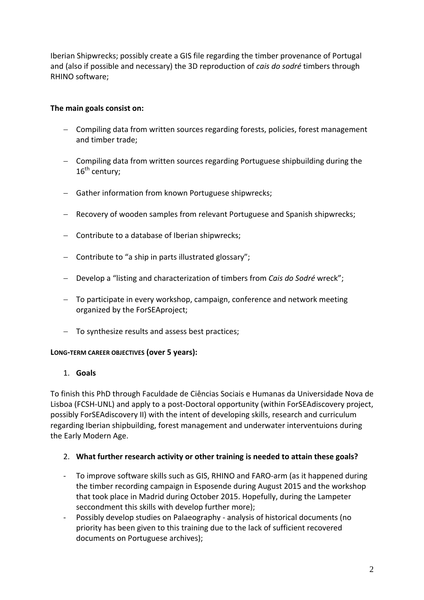Iberian Shipwrecks; possibly create a GIS file regarding the timber provenance of Portugal and (also if possible and necessary) the 3D reproduction of *cais do sodré* timbers through RHINO software;

## **The main goals consist on:**

- − Compiling data from written sources regarding forests, policies, forest management and timber trade;
- − Compiling data from written sources regarding Portuguese shipbuilding during the  $16^{\text{th}}$  century:
- − Gather information from known Portuguese shipwrecks;
- − Recovery of wooden samples from relevant Portuguese and Spanish shipwrecks;
- − Contribute to a database of Iberian shipwrecks;
- − Contribute to "a ship in parts illustrated glossary";
- − Develop a "listing and characterization of timbers from *Cais do Sodré* wreck";
- − To participate in every workshop, campaign, conference and network meeting organized by the ForSEAproject;
- − To synthesize results and assess best practices;

#### **LONG‐TERM CAREER OBJECTIVES (over 5 years):**

### 1. **Goals**

To finish this PhD through Faculdade de Ciências Sociais e Humanas da Universidade Nova de Lisboa (FCSH‐UNL) and apply to a post‐Doctoral opportunity (within ForSEAdiscovery project, possibly ForSEAdiscovery II) with the intent of developing skills, research and curriculum regarding Iberian shipbuilding, forest management and underwater interventuions during the Early Modern Age.

### 2. **What further research activity or other training is needed to attain these goals?**

- ‐ To improve software skills such as GIS, RHINO and FARO‐arm (as it happened during the timber recording campaign in Esposende during August 2015 and the workshop that took place in Madrid during October 2015. Hopefully, during the Lampeter seccondment this skills with develop further more);
- ‐ Possibly develop studies on Palaeography ‐ analysis of historical documents (no priority has been given to this training due to the lack of sufficient recovered documents on Portuguese archives);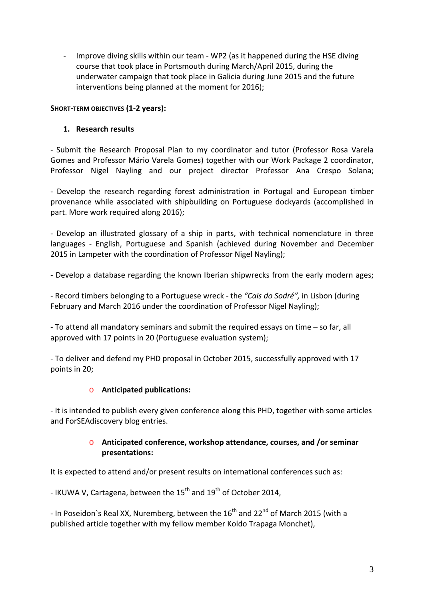‐ Improve diving skills within our team ‐ WP2 (as it happened during the HSE diving course that took place in Portsmouth during March/April 2015, during the underwater campaign that took place in Galicia during June 2015 and the future interventions being planned at the moment for 2016);

### **SHORT‐TERM OBJECTIVES (1‐2 years):**

### **1. Research results**

‐ Submit the Research Proposal Plan to my coordinator and tutor (Professor Rosa Varela Gomes and Professor Mário Varela Gomes) together with our Work Package 2 coordinator, Professor Nigel Nayling and our project director Professor Ana Crespo Solana;

‐ Develop the research regarding forest administration in Portugal and European timber provenance while associated with shipbuilding on Portuguese dockyards (accomplished in part. More work required along 2016);

‐ Develop an illustrated glossary of a ship in parts, with technical nomenclature in three languages - English, Portuguese and Spanish (achieved during November and December 2015 in Lampeter with the coordination of Professor Nigel Nayling);

‐ Develop a database regarding the known Iberian shipwrecks from the early modern ages;

‐ Record timbers belonging to a Portuguese wreck ‐ the *"Cais do Sodré",* in Lisbon (during February and March 2016 under the coordination of Professor Nigel Nayling);

‐ To attend all mandatory seminars and submit the required essays on time – so far, all approved with 17 points in 20 (Portuguese evaluation system);

‐ To deliver and defend my PHD proposal in October 2015, successfully approved with 17 points in 20;

### o **Anticipated publications:**

‐ It is intended to publish every given conference along this PHD, together with some articles and ForSEAdiscovery blog entries.

### o **Anticipated conference, workshop attendance, courses, and /or seminar presentations:**

It is expected to attend and/or present results on international conferences such as:

- IKUWA V, Cartagena, between the  $15<sup>th</sup>$  and  $19<sup>th</sup>$  of October 2014,

- In Poseidon's Real XX, Nuremberg, between the  $16<sup>th</sup>$  and 22<sup>nd</sup> of March 2015 (with a published article together with my fellow member Koldo Trapaga Monchet),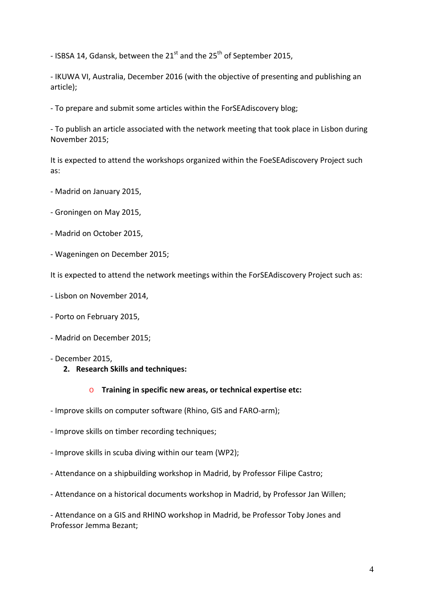- ISBSA 14, Gdansk, between the  $21^{st}$  and the  $25^{th}$  of September 2015,

‐ IKUWA VI, Australia, December 2016 (with the objective of presenting and publishing an article);

‐ To prepare and submit some articles within the ForSEAdiscovery blog;

‐ To publish an article associated with the network meeting that took place in Lisbon during November 2015;

It is expected to attend the workshops organized within the FoeSEAdiscovery Project such as:

- ‐ Madrid on January 2015,
- ‐ Groningen on May 2015,
- ‐ Madrid on October 2015,
- ‐ Wageningen on December 2015;

It is expected to attend the network meetings within the ForSEAdiscovery Project such as:

- ‐ Lisbon on November 2014,
- ‐ Porto on February 2015,
- ‐ Madrid on December 2015;
- ‐ December 2015,
	- **2. Research Skills and techniques:**

#### o **Training in specific new areas, or technical expertise etc:**

- ‐ Improve skills on computer software (Rhino, GIS and FARO‐arm);
- ‐ Improve skills on timber recording techniques;
- ‐ Improve skills in scuba diving within our team (WP2);
- ‐ Attendance on a shipbuilding workshop in Madrid, by Professor Filipe Castro;
- ‐ Attendance on a historical documents workshop in Madrid, by Professor Jan Willen;

‐ Attendance on a GIS and RHINO workshop in Madrid, be Professor Toby Jones and Professor Jemma Bezant;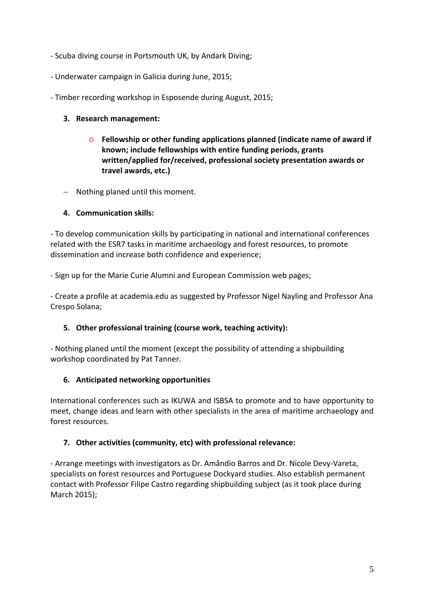- ‐ Scuba diving course in Portsmouth UK, by Andark Diving;
- ‐ Underwater campaign in Galicia during June, 2015;
- ‐ Timber recording workshop in Esposende during August, 2015;

## **3. Research management:**

- o **Fellowship or other funding applications planned (indicate name of award if known; include fellowships with entire funding periods, grants written/applied for/received, professional society presentation awards or travel awards, etc.)**
- − Nothing planed until this moment.

## **4. Communication skills:**

‐ To develop communication skills by participating in national and international conferences related with the ESR7 tasks in maritime archaeology and forest resources, to promote dissemination and increase both confidence and experience;

‐ Sign up for the Marie Curie Alumni and European Commission web pages;

‐ Create a profile at academia.edu as suggested by Professor Nigel Nayling and Professor Ana Crespo Solana;

### **5. Other professional training (course work, teaching activity):**

‐ Nothing planed until the moment (except the possibility of attending a shipbuilding workshop coordinated by Pat Tanner.

### **6. Anticipated networking opportunities**

International conferences such as IKUWA and ISBSA to promote and to have opportunity to meet, change ideas and learn with other specialists in the area of maritime archaeology and forest resources.

# **7. Other activities (community, etc) with professional relevance:**

‐ Arrange meetings with investigators as Dr. Amândio Barros and Dr. Nicole Devy‐Vareta, specialists on forest resources and Portuguese Dockyard studies. Also establish permanent contact with Professor Filipe Castro regarding shipbuilding subject (as it took place during March 2015);